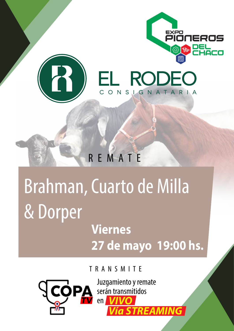

# Brahman, Cuarto de Milla & Dorper

# **Viernes 27 de mayo 19:00 hs.**

TRANSMITE



Juzgamiento y remate serán transmitidos en *VIVO Vía STREAMING*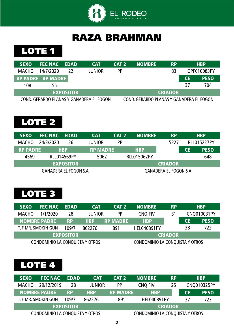

#### RAZA BRAHMAN

LOTE<sub>1</sub>

| <b>SEXO</b> | <b>FEC NAC EDAD</b>      |                  | <b>CAT</b>                               | CAT <sub>2</sub> | <b>NOMBRE</b>                            | <b>RP</b>      |           | <b>HBP</b>  |
|-------------|--------------------------|------------------|------------------------------------------|------------------|------------------------------------------|----------------|-----------|-------------|
| MACHO       | 14/7/2020                | 77               | <b>JUNIOR</b>                            | <b>PP</b>        |                                          | 83             |           | GPF010083PY |
|             | <b>RP PADRE RP MADRE</b> |                  |                                          |                  |                                          |                | <b>CE</b> | <b>PESO</b> |
| 108         | 55                       |                  |                                          |                  |                                          |                | 37        | 704         |
|             |                          | <b>EXPOSITOR</b> |                                          |                  |                                          | <b>CRIADOR</b> |           |             |
|             |                          |                  | COND. GERARDO PLANAS Y GANADERA EL FOGON |                  | COND. GERARDO PLANAS Y GANADERA EL FOGON |                |           |             |

# LOTE 2

| <b>SEXO</b>     | <b>FEC NAC EDAD</b>           |                    | <b>CAT</b>      | CAT <sub>2</sub> | <b>NOMBRE</b>      | <b>RP</b>                     |           | <b>HBP</b>         |
|-----------------|-------------------------------|--------------------|-----------------|------------------|--------------------|-------------------------------|-----------|--------------------|
| <b>MACHO</b>    | 24/3/2020                     | 26                 | <b>JUNIOR</b>   | <b>PP</b>        |                    | 5227                          |           | <b>RLL015227PY</b> |
| <b>RP PADRE</b> |                               | <b>HBP</b>         | <b>RP MADRE</b> |                  | <b>HBP</b>         |                               | <b>CE</b> | <b>PESO</b>        |
| 4569            |                               | <b>RLL014569PY</b> | 5062            |                  | <b>RLL015062PY</b> |                               |           | 648                |
|                 |                               | <b>EXPOSITOR</b>   |                 |                  |                    | <b>CRIADOR</b>                |           |                    |
|                 | <b>GANADERA EL FOGON S.A.</b> |                    |                 |                  |                    | <b>GANADERA EL FOGON S.A.</b> |           |                    |

#### LOTE 3

| <b>SEXO</b>  | <b>FEC NAC</b>                  | <b>EDAD</b>      | <b>CAT</b>    | CAT <sub>2</sub> | <b>NOMBRE</b>                   | <b>RP</b>      |           | <b>HBP</b>  |
|--------------|---------------------------------|------------------|---------------|------------------|---------------------------------|----------------|-----------|-------------|
| <b>MACHO</b> | 1/1/2020                        | 28               | <b>JUNIOR</b> | <b>PP</b>        | <b>CNQ FIV</b>                  | 31             |           | CNQ010031PY |
|              | <b>NOMBRE PADRE</b>             | <b>RP</b>        | <b>HBP</b>    | <b>RP MADRE</b>  | <b>HBP</b>                      |                | <b>CE</b> | <b>PESO</b> |
|              | TJF MR. SMOKIN GUN              | 109/7            | 862276        | 891              | <b>HEL040891PY</b>              |                | 38        | 722         |
|              |                                 | <b>EXPOSITOR</b> |               |                  |                                 | <b>CRIADOR</b> |           |             |
|              | CONDOMINIO LA CONQUISTA Y OTROS |                  |               |                  | CONDOMINIO LA CONQUISTA Y OTROS |                |           |             |

| <b>SEXO</b>  | <b>FEC NAC</b>                  | <b>EDAD</b>      | <b>CAT</b>    | CAT <sub>2</sub> | <b>NOMBRE</b>                   | <b>RP</b> |           | <b>HBP</b>  |
|--------------|---------------------------------|------------------|---------------|------------------|---------------------------------|-----------|-----------|-------------|
| <b>MACHO</b> | 29/12/2019                      | 28               | <b>JUNIOR</b> | <b>PP</b>        | <b>CNQ FIV</b>                  | 25        |           | CNQ010325PY |
|              | <b>NOMBRE PADRE</b>             | <b>RP</b>        | <b>HBP</b>    | <b>RP MADRE</b>  | <b>HBP</b>                      |           | <b>CE</b> | <b>PESO</b> |
|              | TJF MR. SMOKIN GUN              | 109/7            | 862276        | 891              | <b>HEL040891PY</b>              |           | 37        | 723         |
|              |                                 | <b>EXPOSITOR</b> |               |                  | <b>CRIADOR</b>                  |           |           |             |
|              | CONDOMINIO LA CONQUISTA Y OTROS |                  |               |                  | CONDOMINIO LA CONQUISTA Y OTROS |           |           |             |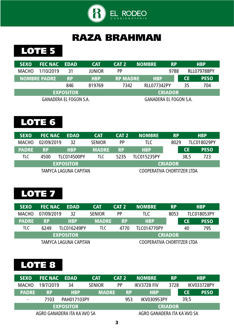

#### RAZA BRAHMAN

#### LOTE 5

| <b>SEXO</b>  | <b>FEC NAC</b>                | EDAD             | <b>CAT</b>    | CAT <sub>2</sub> | <b>NOMBRE</b>                 | <b>RP</b>      |    | <b>HBP</b>         |
|--------------|-------------------------------|------------------|---------------|------------------|-------------------------------|----------------|----|--------------------|
| <b>MACHO</b> | 1/10/2019                     | 31               | <b>JUNIOR</b> | <b>PP</b>        |                               | 9788           |    | <b>RLL079788PY</b> |
|              | <b>NOMBRE PADRE</b>           | <b>RP</b>        | <b>HBP</b>    | <b>RP MADRE</b>  | <b>HBP</b>                    |                | СE | <b>PESO</b>        |
|              |                               | 846              | 819769        | 7342             | <b>RLL077342PY</b>            |                | 35 | 704                |
|              |                               | <b>EXPOSITOR</b> |               |                  |                               | <b>CRIADOR</b> |    |                    |
|              | <b>GANADERA EL FOGON S.A.</b> |                  |               |                  | <b>GANADERA EL FOGON S.A.</b> |                |    |                    |

# LOTE 6

| <b>SEXO</b>  | <b>FEC NAC</b> | EDAD                  | <b>CAT</b>    | CAT <sub>2</sub> | <b>NOMBRE</b>               | <b>RP</b>      |      | <b>HBP</b>         |
|--------------|----------------|-----------------------|---------------|------------------|-----------------------------|----------------|------|--------------------|
| <b>MACHO</b> | 02/09/2019     | 32                    | <b>SENIOR</b> | <b>PP</b>        | TLC                         | 8029           |      | <b>TLC018029PY</b> |
| <b>PADRE</b> | <b>RP</b>      | <b>HBP</b>            | <b>MADRE</b>  | <b>RP</b>        | <b>HBP</b>                  |                | CE   | <b>PESO</b>        |
| TLC          | 4500           | <b>TLC014500PY</b>    | TLC           | 5235             | <b>TLC015235PY</b>          |                | 38,5 | 723                |
|              |                | <b>EXPOSITOR</b>      |               |                  |                             | <b>CRIADOR</b> |      |                    |
|              |                | TAMYCA LAGUNA CAPITAN |               |                  | COOPERATIVA CHORTITZER LTDA |                |      |                    |

#### LOTE 7

| <b>SEXO</b>  | <b>FEC NAC</b> | EDAD                  | <b>CAT</b>                 | CAT <sub>2</sub> | <b>NOMBRE</b>               | <b>RP</b>      |                    | <b>HBP</b>  |
|--------------|----------------|-----------------------|----------------------------|------------------|-----------------------------|----------------|--------------------|-------------|
| <b>MACHO</b> | 07/09/2019     | 32                    | <b>PP</b><br><b>SENIOR</b> |                  | TLC.                        | 8053           | <b>TLC018053PY</b> |             |
| <b>PADRE</b> | <b>RP</b>      | <b>HBP</b>            | <b>MADRE</b>               | <b>RP</b>        | <b>HBP</b>                  |                | <b>CE</b>          | <b>PESO</b> |
| TLC          | 6249           | <b>TLC016249PY</b>    | TLC.                       | 4770             | TLC014770PY                 |                | 40                 | 795         |
|              |                | <b>EXPOSITOR</b>      |                            |                  |                             | <b>CRIADOR</b> |                    |             |
|              |                | TAMYCA LAGUNA CAPITAN |                            |                  | COOPERATIVA CHORTITZER LTDA |                |                    |             |

| <b>SEXO</b>                 | <b>FEC NAC</b> | EDAD               | <b>CAT</b>    | CAT <sub>2</sub> | <b>NOMBRE</b>               | <b>RP</b>      |           | <b>HBP</b>         |
|-----------------------------|----------------|--------------------|---------------|------------------|-----------------------------|----------------|-----------|--------------------|
| <b>MACHO</b>                | 19/7/2019      | 34                 | <b>SENIOR</b> | <b>PP</b>        | IKV3728 FIV                 | 3728           |           | <b>IKV033728PY</b> |
| <b>PADRE</b>                | <b>RP</b>      | <b>HBP</b>         | <b>MADRE</b>  | <b>RP</b>        | <b>HBP</b>                  |                | <b>CE</b> | <b>PESO</b>        |
| $\overline{\phantom{a}}$    | 7103           | <b>PAH017103PY</b> |               | 953              | <b>IKV030953PY</b>          |                | 39,5      |                    |
|                             |                | <b>EXPOSITOR</b>   |               |                  |                             | <b>CRIADOR</b> |           |                    |
| AGRO GANADERA ITA KA'AVO SA |                |                    |               |                  | AGRO GANADERA ITA KA'AVO SA |                |           |                    |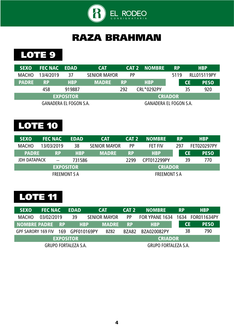

#### RAZA BRAHMAN

#### LOTE 9

| <b>SEXO</b>  | <b>FEC NAC EDAD</b> |                               | <b>CAT</b>          |           | <b>CAT 2 NOMBRE</b>    | <b>RP</b>      |           | <b>HBP</b>         |
|--------------|---------------------|-------------------------------|---------------------|-----------|------------------------|----------------|-----------|--------------------|
| <b>MACHO</b> | 13/4/2019           | 37                            | <b>SENIOR MAYOR</b> | <b>PP</b> |                        | 5119           |           | <b>RLL015119PY</b> |
| <b>PADRE</b> | <b>RP</b>           | <b>HBP</b>                    | <b>MADRE</b>        | <b>RP</b> | <b>HBP</b>             |                | <b>CE</b> | <b>PESO</b>        |
|              | 458                 | 919887                        |                     | 292       | CRL*0292PY             |                | 35        | 920                |
|              |                     | <b>EXPOSITOR</b>              |                     |           |                        | <b>CRIADOR</b> |           |                    |
|              |                     | <b>GANADERA EL FOGON S.A.</b> |                     |           | GANADERA EL FOGON S.A. |                |           |                    |

# LOTE 10

| <b>SEXO</b>         | <b>FEC NAC</b>      | <b>EDAD</b> | <b>CAT</b>          | CAT <sub>2</sub> | <b>INOMBRE</b>      | <b>RP</b> |           | <b>HBP</b>  |
|---------------------|---------------------|-------------|---------------------|------------------|---------------------|-----------|-----------|-------------|
| <b>MACHO</b>        | 13/03/2019          | 38          | <b>SENIOR MAYOR</b> | <b>PP</b>        | <b>FET FIV</b>      | 297       |           | FET020297PY |
| <b>PADRE</b>        | <b>RP</b>           | <b>HBP</b>  | <b>MADRE</b>        | <b>RP</b>        | <b>HBP</b>          |           | <b>CE</b> | <b>PESO</b> |
| <b>JDH DATAPACK</b> | $-\,-$              | 731586      |                     | 2299             | CPT012299PY         |           | 39        | 770         |
|                     | <b>EXPOSITOR</b>    |             |                     |                  | <b>CRIADOR</b>      |           |           |             |
|                     | <b>FREEMONT S A</b> |             |                     |                  | <b>FREEMONT S A</b> |           |           |             |

| <b>SEXO</b>                 | <b>FEC NAC</b> |     | <b>EDAD</b>      |            | <b>CAT</b>          | CAT <sub>2</sub> | <b>INOMBRE</b>                  | <b>RP</b> |           | <b>HBP</b>  |
|-----------------------------|----------------|-----|------------------|------------|---------------------|------------------|---------------------------------|-----------|-----------|-------------|
| <b>MACHO</b>                | 03/02/2019     |     | 39               |            | <b>SENIOR MAYOR</b> | <b>PP</b>        | FOR YPANE 1634 1634 FOR011634PY |           |           |             |
| <b>NOMBRE PADRE RP</b>      |                |     |                  | <b>HBP</b> | <b>MADRE</b>        | <b>RP</b>        | <b>HBP</b>                      |           | <b>CE</b> | <b>PESO</b> |
| <b>GPF SARORY 169 FIV</b>   |                | 169 | GPF010169PY      |            | <b>BZ82</b>         | BZA82            | BZA020082PY                     |           | 38        | 790         |
|                             |                |     | <b>EXPOSITOR</b> |            |                     |                  | <b>CRIADOR</b>                  |           |           |             |
| <b>GRUPO FORTALEZA S.A.</b> |                |     |                  |            |                     |                  | <b>GRUPO FORTALEZA S.A.</b>     |           |           |             |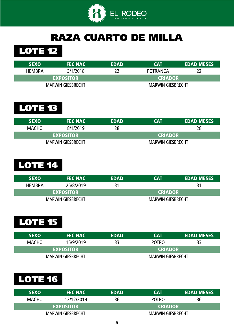

#### RAZA CUARTO DE MILLA



| <b>SEXO</b>   | <b>FEC NAC</b>           | <b>EDAD</b> | <b>CAT</b>               | <b>EDAD MESES</b> |
|---------------|--------------------------|-------------|--------------------------|-------------------|
| <b>HEMBRA</b> | 3/1/2018                 |             | POTRANCA                 | 22                |
|               | <b>EXPOSITOR</b>         |             | <b>CRIADOR</b>           |                   |
|               | <b>MARWIN GIESBRECHT</b> |             | <b>MARWIN GIESBRECHT</b> |                   |

#### LOTE 13

| <b>SEXO</b>  | <b>FEC NAC</b>           | <b>EDAD</b> | CAT                      | <b>EDAD MESES</b> |
|--------------|--------------------------|-------------|--------------------------|-------------------|
| <b>MACHO</b> | 8/1/2019                 | 28          |                          | 28                |
|              | <b>EXPOSITOR</b>         |             | <b>CRIADOR</b>           |                   |
|              | <b>MARWIN GIESBRECHT</b> |             | <b>MARWIN GIESBRECHT</b> |                   |

# LOTE 14

| <b>SEXO</b>   | <b>FEC NAC</b>           | <b>EDAD</b> | <b>CAT</b>               | <b>EDAD MESES</b> |
|---------------|--------------------------|-------------|--------------------------|-------------------|
| <b>HEMBRA</b> | 25/8/2019                | 31          |                          |                   |
|               | <b>EXPOSITOR</b>         |             | <b>CRIADOR</b>           |                   |
|               | <b>MARWIN GIESBRECHT</b> |             | <b>MARWIN GIESBRECHT</b> |                   |

# LOTE 15

| <b>SEXO</b>  | <b>FEC NAC</b>           | <b>EDAD</b> | <b>CAT</b>               | <b>EDAD MESES</b> |  |  |
|--------------|--------------------------|-------------|--------------------------|-------------------|--|--|
| <b>MACHO</b> | 15/9/2019                | 33          | <b>POTRO</b>             | 33                |  |  |
|              | <b>EXPOSITOR</b>         |             | <b>CRIADOR</b>           |                   |  |  |
|              | <b>MARWIN GIESBRECHT</b> |             | <b>MARWIN GIESBRECHT</b> |                   |  |  |

| <b>SEXO</b>  | <b>FEC NAC</b>           | <b>EDAD</b> | <b>CAT</b>               | <b>EDAD MESES</b> |  |  |
|--------------|--------------------------|-------------|--------------------------|-------------------|--|--|
| <b>MACHO</b> | 12/12/2019               | 36          | <b>POTRO</b>             | 36                |  |  |
|              | <b>EXPOSITOR</b>         |             | <b>CRIADOR</b>           |                   |  |  |
|              | <b>MARWIN GIESBRECHT</b> |             | <b>MARWIN GIESBRECHT</b> |                   |  |  |